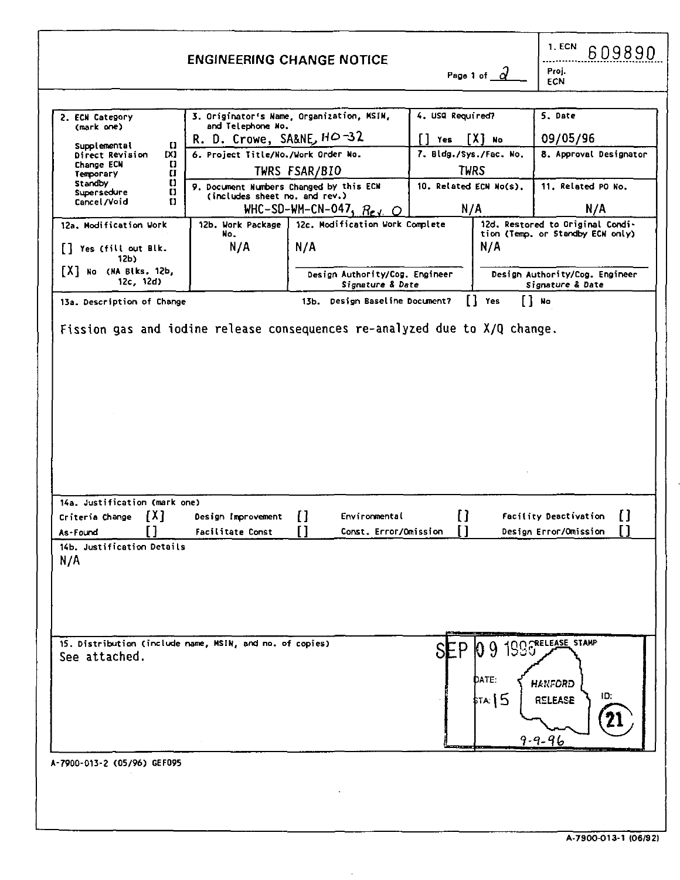|                                                                           |                                                                          | <b>ENGINEERING CHANGE NOTICE</b>                   |                        |                | 1. ECN<br>609890<br>Proj.                                               |
|---------------------------------------------------------------------------|--------------------------------------------------------------------------|----------------------------------------------------|------------------------|----------------|-------------------------------------------------------------------------|
|                                                                           |                                                                          |                                                    |                        | Page 1 of a    | ECN                                                                     |
| 2. ECN Category<br>(mark one)                                             | and Telephone No.                                                        | 3. Originator's Name, Organization, MSIN,          | 4. USQ Required?       |                | 5. Date                                                                 |
|                                                                           | R. D. Crowe, SA&NE, HO-32                                                |                                                    | $\lceil \rceil$ Yes    | [X] No         | 09/05/96                                                                |
| Supplemental<br>o<br>IX)<br>Direct Revision                               | 6. Project Title/No./Work Order No.                                      |                                                    | 7. Bldg./Sys./Fac. No. |                | 8. Approval Designator                                                  |
| Change ECN<br>o<br>Temporary<br>$\mathbf{u}$                              |                                                                          | TWRS FSAR/BIO                                      |                        | TWRS           |                                                                         |
| Standby<br>ω<br>Supersedure<br>$\mathbf{U}$<br>Cancel/Void<br>ū           | 9. Document Numbers Changed by this ECN<br>(includes sheet no, and rev.) | WHC-SD-WM-CN-047, $R_{eV}$ O                       | 10. Related ECN No(s). | N/A            | 11. Related PO No.<br>N/A                                               |
| 12a. Modification Work                                                    | 12b. Work Package                                                        | 12c. Modification Work Complete                    |                        |                | 12d. Restored to Original Condi-                                        |
| [] Yes (fill out Blk.<br>12 <sub>b</sub>                                  | No.<br>N/A                                                               | N/A                                                |                        | N/A            | tion (Temp, or Standby ECN only)                                        |
| [X] No (NA Blks. 12b,<br>12c, 12d)                                        |                                                                          | Design Authority/Cog. Engineer<br>Signature & Date |                        |                | Design Authority/Cog. Engineer<br>Signature & Date                      |
| 13a. Description of Change                                                |                                                                          | 13b. Design Baseline Document?                     |                        | [] Yes         | [] №                                                                    |
|                                                                           |                                                                          |                                                    |                        |                |                                                                         |
| 14a. Justification (mark one)                                             |                                                                          |                                                    |                        |                |                                                                         |
| Criteria Change [X]                                                       | Design Improvement                                                       | П<br>Environmental                                 | ſ1                     |                |                                                                         |
| ГJ                                                                        |                                                                          |                                                    |                        |                | п<br>Facility Deactivation                                              |
| As-Found                                                                  | <b>Facilitate Const</b>                                                  | n<br>Const. Error/Omission                         | п                      |                | п<br>Design Error/Omission                                              |
| 14b. Justification Details<br>N/A                                         |                                                                          |                                                    |                        |                |                                                                         |
| 15. Distribution (include name, MSIN, and no. of copies)<br>See attached. |                                                                          |                                                    |                        | DATE:<br>та:15 | SEP 09 1996 RELEASE STAMP<br><b>HANFORD</b><br>ID:<br>RELEASE<br>9-9-96 |
| A-7900-013-2 (05/96) GEF095                                               |                                                                          |                                                    |                        |                |                                                                         |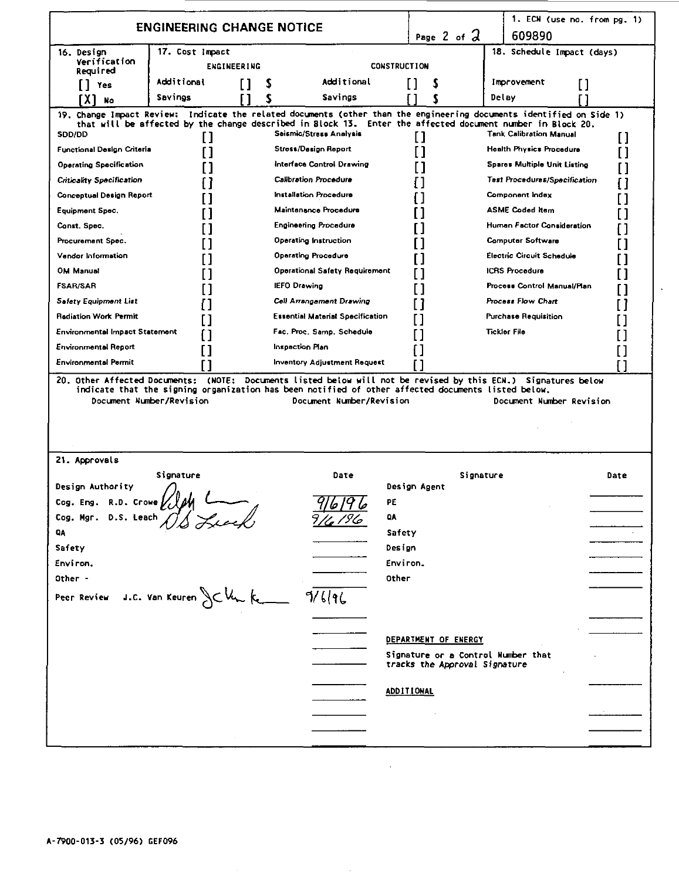|                                      | <b>ENGINEERING CHANGE NOTICE</b> |             |                                                                                                                                                                                                                                                           |                     | Page 2 of $2$                                                       | 1. ECN (use no. from pg. 1)<br>609890 |      |  |
|--------------------------------------|----------------------------------|-------------|-----------------------------------------------------------------------------------------------------------------------------------------------------------------------------------------------------------------------------------------------------------|---------------------|---------------------------------------------------------------------|---------------------------------------|------|--|
| 16. Design                           | 17. Cost Impact                  |             |                                                                                                                                                                                                                                                           |                     |                                                                     | 18. Schedule Impact (days)            |      |  |
| Verification<br>Required             |                                  | ENGINEERING |                                                                                                                                                                                                                                                           | <b>CONSTRUCTION</b> |                                                                     |                                       |      |  |
| [] Yes                               | Additional                       | ſ1<br>s     | Additional                                                                                                                                                                                                                                                | H                   | \$                                                                  | Improvement                           | I l  |  |
| EX 1<br><b>No</b>                    | Savines                          | S           | Savings                                                                                                                                                                                                                                                   |                     | s                                                                   | Delay                                 |      |  |
| SDD/DD                               | Н                                |             | Change Impact Review: Indicate the related documents (other than the engineering documents identified on Side 1)<br>that will be affected by the change described in Block 13. Enter the affected document number in Block 20.<br>Seismic/Stress Analysis |                     | l I                                                                 | <b>Tank Calibration Manual</b>        | П    |  |
| <b>Functional Design Criteria</b>    | ſ1                               |             | <b>Stress/Design Report</b>                                                                                                                                                                                                                               |                     |                                                                     | <b>Health Physics Procedure</b>       | П    |  |
| <b>Operating Specification</b>       |                                  |             | Interface Control Drawing                                                                                                                                                                                                                                 |                     |                                                                     | Spares Multiple Unit Listing          |      |  |
| <b>Criticality Specification</b>     |                                  |             | <b>Calibration Procedure</b>                                                                                                                                                                                                                              |                     |                                                                     | <b>Test Procedures/Specification</b>  | П    |  |
| Conceptual Design Report             |                                  |             | Installation Procedure                                                                                                                                                                                                                                    |                     |                                                                     | Component index                       |      |  |
| Equipment Spec.                      |                                  |             | Maintenance Procedure                                                                                                                                                                                                                                     |                     |                                                                     | <b>ASME Coded item</b>                |      |  |
| Const. Spec.                         |                                  |             | <b>Engineering Procedure</b>                                                                                                                                                                                                                              |                     |                                                                     | Human Factor Consideration            |      |  |
|                                      |                                  |             |                                                                                                                                                                                                                                                           |                     |                                                                     |                                       |      |  |
| Procurement Spec.                    |                                  |             | Operating Instruction                                                                                                                                                                                                                                     |                     |                                                                     | <b>Computer Software</b>              |      |  |
| Vendor Information                   |                                  |             | <b>Operating Procedure</b>                                                                                                                                                                                                                                |                     |                                                                     | Electric Circuit Schedule             |      |  |
| <b>OM Manual</b>                     |                                  |             | <b>Operational Safety Requirement</b>                                                                                                                                                                                                                     |                     |                                                                     | <b>ICRS Procedure</b>                 |      |  |
| <b>FSAR/SAR</b>                      |                                  |             | <b>IEFO Drawing</b>                                                                                                                                                                                                                                       |                     |                                                                     | Process Control Manual/Plan           |      |  |
| <b>Safety Equipment List</b>         |                                  |             | Cell Arrangement Drawing                                                                                                                                                                                                                                  |                     |                                                                     | Process Flow Chart                    |      |  |
| <b>Rediation Work Permit</b>         |                                  |             | <b>Essential Material Specification</b>                                                                                                                                                                                                                   |                     |                                                                     | <b>Purchase Requisition</b>           | [ 1  |  |
| Environmental Impact Statement       |                                  |             | Fac. Proc. Samp. Schedule                                                                                                                                                                                                                                 |                     |                                                                     | <b>Tickler File</b>                   |      |  |
| <b>Environmental Report</b>          | П                                |             | Inspection Plan                                                                                                                                                                                                                                           |                     |                                                                     |                                       | [ ]  |  |
| <b>Environmental Permit</b>          |                                  |             | <b>Inventory Adjustment Request</b>                                                                                                                                                                                                                       |                     |                                                                     |                                       | ſΙ   |  |
|                                      | Document Number/Revision         |             | Document Number/Revision                                                                                                                                                                                                                                  |                     |                                                                     | Document Number Revision              |      |  |
| 21. Approvals                        |                                  |             |                                                                                                                                                                                                                                                           |                     |                                                                     |                                       |      |  |
|                                      | Signature                        |             | Date                                                                                                                                                                                                                                                      |                     | Signature                                                           |                                       | Date |  |
| Design Authority                     |                                  |             |                                                                                                                                                                                                                                                           | Design Agent        |                                                                     |                                       |      |  |
| Cog. Eng. R.D. Crowe                 |                                  |             |                                                                                                                                                                                                                                                           | PE                  |                                                                     |                                       |      |  |
| Cog. Mgr.<br>D.S. Leach              |                                  |             |                                                                                                                                                                                                                                                           | QA                  |                                                                     |                                       |      |  |
| QA                                   |                                  |             |                                                                                                                                                                                                                                                           | Safety              |                                                                     |                                       |      |  |
| Safety                               |                                  |             |                                                                                                                                                                                                                                                           | Design              |                                                                     |                                       |      |  |
| Environ.                             |                                  |             |                                                                                                                                                                                                                                                           | Environ.            |                                                                     |                                       |      |  |
| Other -                              |                                  |             |                                                                                                                                                                                                                                                           | Other               |                                                                     |                                       |      |  |
| Peer Review J.C. Van Keuren JC Un Ke |                                  |             | 9/6196                                                                                                                                                                                                                                                    |                     |                                                                     |                                       |      |  |
|                                      |                                  |             |                                                                                                                                                                                                                                                           |                     |                                                                     |                                       |      |  |
|                                      |                                  |             |                                                                                                                                                                                                                                                           |                     | DEPARTMENT OF ENERGY                                                |                                       |      |  |
|                                      |                                  |             |                                                                                                                                                                                                                                                           |                     |                                                                     |                                       |      |  |
|                                      |                                  |             |                                                                                                                                                                                                                                                           |                     | Signature or a Control Number that<br>tracks the Approval Signature |                                       |      |  |
|                                      |                                  |             |                                                                                                                                                                                                                                                           | <b>ADDITIONAL</b>   |                                                                     |                                       |      |  |
|                                      |                                  |             |                                                                                                                                                                                                                                                           |                     |                                                                     |                                       |      |  |
|                                      |                                  |             |                                                                                                                                                                                                                                                           |                     |                                                                     |                                       |      |  |

 $\ddot{\phantom{a}}$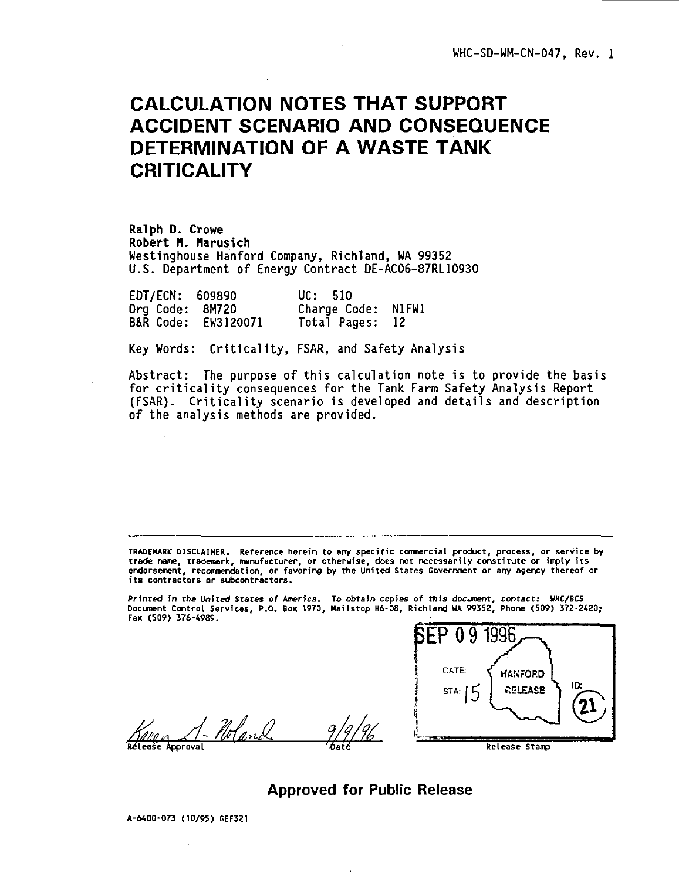# **CALCULATION NOTES THAT SUPPORT ACCIDENT SCENARIO AND CONSEQUENCE DETERMINATION OF A WASTE TANK CRITICALITY**

**Ralph D. Crowe Robert H. Mar**us**ich** Westinghouse Hanford Company, Richland, WA 99352 U.S. Department of Energy Contract DE-AC06-87RL10930

| EDT/ECN: 609890 |                     | UC: 510            |  |
|-----------------|---------------------|--------------------|--|
| Org Code: 8M720 |                     | Charge Code: N1FW1 |  |
|                 | B&R Code: EW3120071 | Total Pages: 12    |  |

Key Words: Criticality, FSAR, and Safety Analysis

Abstract: The purpose of this calculation note is to provide the basis for criticality consequences for the Tank Farm Safety Analysis Report (FSAR). Criticality scenario is developed and details and description of the analysis methods are provided.

**TRADEMARK DISCLAIMER. Reference herein to any specific commercial product, process, or service by trade name, trademark, manufacturer, or otherwise, does not necessarily constitute or imply its endorsement, recommendation, or favoring by the United States Government or any agency thereof or its contractors or subcontractors.**

**Printed in the United States of America. To obtain copies of this document, contact: WHC/BCS Document Control Services, P.O. Box 1970, Mailstop H6-08, Richland UA 99352, Phone (509) 372-2420; Fax (509) 376-4989.**

- Noland **Release Approval**



**Approved for Public Release**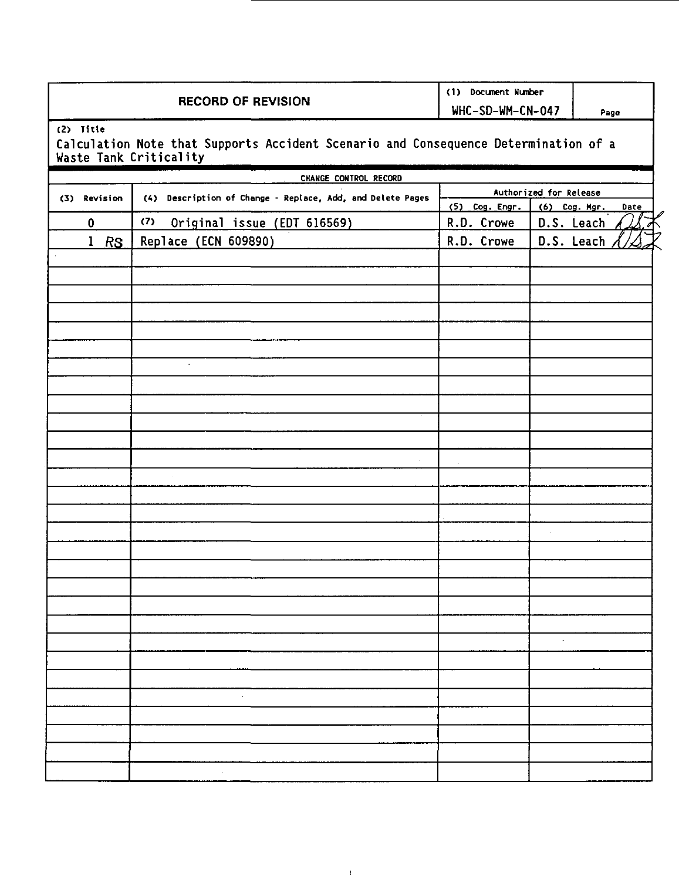## **RECORD OF REVISION**

**(1) Document Number**

**WHC-SD-WM-CN-047 Page**

**(2) Title**

**Calculation Note that Supports Accident Scenario and Consequence Determination of a Waste Tank Criticality**

| CHANGE CONTROL RECORD |                                                            |                        |                       |  |
|-----------------------|------------------------------------------------------------|------------------------|-----------------------|--|
| (3) Revision          | (4) Description of Change - Replace, Add, and Delete Pages | Authorized for Release |                       |  |
|                       |                                                            | (5) Cog. Engr.         | (6) Cog. Mgr.<br>Date |  |
| 0                     | (7) Original issue (EDT 616569)                            | R.D. Crowe             | D.S. Leach            |  |
| $1$ RS                | Replace (ECN 609890)                                       | R.D. Crowe             | D.S. Leach            |  |
|                       |                                                            |                        |                       |  |
|                       |                                                            |                        |                       |  |
|                       |                                                            |                        |                       |  |
|                       |                                                            |                        |                       |  |
|                       |                                                            |                        |                       |  |
|                       |                                                            |                        |                       |  |
|                       |                                                            |                        |                       |  |
|                       | $\sim$                                                     |                        |                       |  |
|                       |                                                            |                        |                       |  |
|                       |                                                            |                        |                       |  |
|                       |                                                            |                        |                       |  |
|                       |                                                            |                        |                       |  |
|                       |                                                            |                        |                       |  |
|                       |                                                            |                        |                       |  |
|                       |                                                            |                        |                       |  |
|                       |                                                            |                        |                       |  |
|                       |                                                            |                        |                       |  |
|                       |                                                            |                        | ¥,                    |  |
|                       |                                                            |                        |                       |  |
|                       |                                                            |                        |                       |  |
|                       |                                                            |                        |                       |  |
|                       |                                                            |                        |                       |  |
|                       |                                                            |                        |                       |  |
|                       |                                                            |                        |                       |  |
|                       |                                                            |                        | $\lambda$             |  |
|                       |                                                            |                        |                       |  |
|                       |                                                            |                        |                       |  |
|                       | $\cdot$                                                    |                        |                       |  |
|                       |                                                            |                        |                       |  |
|                       |                                                            |                        |                       |  |
|                       |                                                            |                        |                       |  |
|                       |                                                            |                        |                       |  |
|                       |                                                            |                        |                       |  |

 $\bar{1}$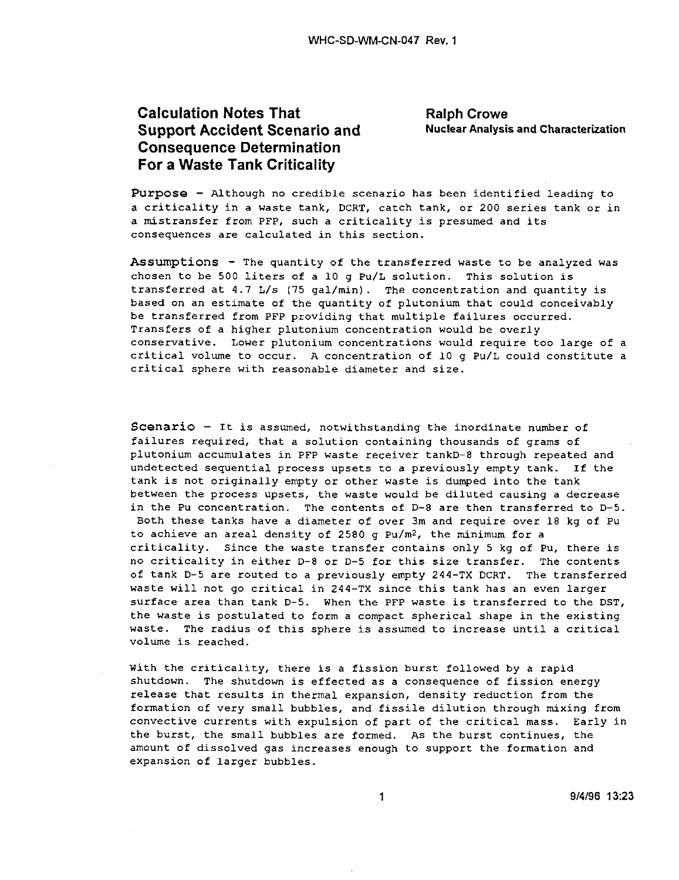# **Calculation Notes That Crowe** Ralph Crowe **Support Accident Scenario and Muclear Analysis and Characterization Consequence Determination For a Waste Tank Criticality**

Purpose - Although no credible scenario has been identified leading to a criticality in a waste tank, DCRT, catch tank, or 200 series tank or in a mistransfer from PFP, such a criticality is presumed and its consequences are calculated in this section.

**Assumption s** - The quantity of the transferred waste to be analyzed was chosen to be 500 liters of a 10 g Pu/L solution. This solution is transferred at 4.7 L/s (75 gal/min). The concentration and quantity is based on an estimate of the quantity of plutonium that could conceivably be transferred from PFP providing that multiple failures occurred. Transfers of a higher plutonium concentration would be overly conservative. Lower plutonium concentrations would require too large of a critical volume to occur. A concentration of 10 g Pu/L could constitute a critical sphere with reasonable diameter and size.

**Scenari o** - It is assumed, notwithstanding the inordinate number of failures required, that a solution containing thousands of grams of plutonium accumulates in PFP waste receiver tankD-8 through repeated and undetected sequential process upsets to a previously empty tank. If the tank is not originally empty or other waste is dumped into the tank between the process upsets, the waste would be diluted causing a decrease in the Pu concentration. The contents of D-8 are then transferred to D-5. Both these tanks have a diameter of over 3m and require over 18 kg of Pu to achieve an areal density of 2580 g Pu/m<sup>2</sup>, the minimum for a criticality. Since the waste transfer contains only 5 kg of Pu, there is no criticality in either D-8 or D-5 for this size transfer. The contents of tank D-5 are routed to a previously empty 244-TX DCRT. The transferred waste will not go critical in 244-TX since this tank has an even larger surface area than tank D-5. When the PFP waste is transferred to the DST, the waste is postulated to form a compact spherical shape in the existing waste. The radius of this sphere is assumed to increase until a critical volume is reached.

With the criticality, there is a fission burst followed by a rapid shutdown. The shutdown is effected as a consequence of fission energy release that results in thermal expansion, density reduction from the formation of very small bubbles, and fissile dilution through mixing from convective currents with expulsion of part of the critical mass. Early in the burst, the small bubbles are formed. As the burst continues, the amount of dissolved gas increases enough to support the formation and expansion of larger bubbles.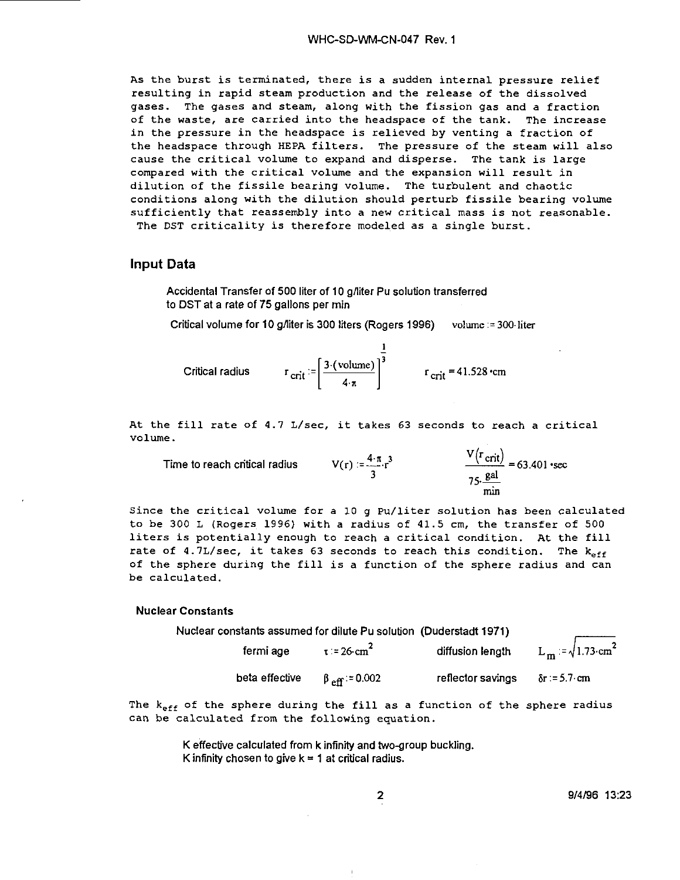As the burst is terminated, there is a sudden internal pressure relief resulting in rapid steam production and the release of the dissolved gases. The gases and steam, along with the fission gas and a fraction of the waste, are carried into the headspace of the tank. The increase in the pressure in the headspace is relieved by venting a fraction of the headspace through HEPA filters. The pressure of the steam will also cause the critical volume to expand and disperse. The tank is large compared with the critical volume and the expansion will result in dilution of the fissile bearing volume. The turbulent and chaotic conditions along with the dilution should perturb fissile bearing volume sufficiently that reassembly into a new critical mass is not reasonable. The DST criticality is therefore modeled as a single burst.

### Input Data

Accidental Transfer of 500 liter of 10 g/liter Pu solution transferred to DST at a rate of 75 gallons per min

Critical volume for 10 g/liter is 300 liters (Rogers 1996) volume := 300 liter

Critical radius  $r_{\text{crit}} = \left[\frac{3 \cdot (\text{volume})}{4 \cdot \pi}\right]$ 

At the fill rate of 4.7 L/sec, it takes 63 seconds to reach a critical volume.

Time to reach critical radius  $V(r) := \frac{4 \cdot \pi}{3} r^3$  <br>  $\frac{V(\text{·crit})}{75 \cdot \frac{\text{gal}}{75 \cdot 15}} = 63.401 \cdot \text{sec}$ rain

Since the critical volume for a 10 g Pu/liter solution has been calculated to be 300 L (Rogers 1996) with a radius of 41.5 cm, the transfer of 500 liters is potentially enough to reach a critical condition. At the fill rate of 4.7L/sec, it takes 63 seconds to reach this condition. The  $k_{eff}$ of the sphere during the fill is a function of the sphere radius and can be calculated.

#### **Nuclear Constants**

| Nuclear constants assumed for dilute Pu solution (Duderstadt 1971) |                               |                   |                                 |
|--------------------------------------------------------------------|-------------------------------|-------------------|---------------------------------|
| fermi age                                                          | $\tau = 26$ cm <sup>2</sup>   | diffusion lenath  | $L_m := \sqrt{1.73 \cdot cm^2}$ |
| beta effective                                                     | $\beta_{\text{eff}}$ := 0.002 | reflector savings | $\delta r = 5.7$ cm             |

The  $k_{\text{eff}}$  of the sphere during the fill as a function of the sphere radius can be calculated from the following equation.

> K effective calculated from k infinity and two-group buckling. K infinity chosen to give  $k = 1$  at critical radius.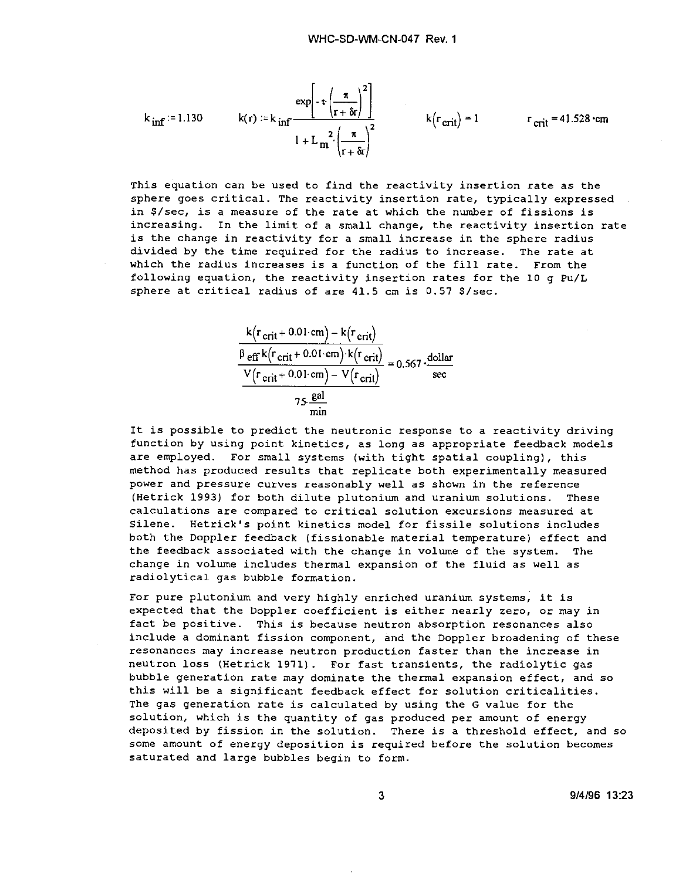exp

 $k_{\text{inf}} = 1.130$ 

 $k(r_{\text{crit}}) = 1$   $r_{\text{crit}} = 41.528$  cm

This equation can be used to find the reactivity insertion rate as the sphere goes critical. The reactivity insertion rate, typically expressed in S/sec, is a measure of the rate at which the number of fissions is increasing. In the limit of a small change, the reactivity insertion rate is the change in reactivity for a small increase in the sphere radius divided by the time required for the radius to increase. The rate at which the radius increases is a function of the fill rate. From the following equation, the reactivity insertion rates for the 10 g Pu/L sphere at critical radius of are 41.5 cm is 0.57 \$/sec.

 $r+\delta r_i$ 

k  $^{\sharp}$ e V ( r ff ( r crit k(r, crit + cr +  $0.01 \text{ cm}$  $it + 0.01$  $0.01 \text{ cm}$ /<br>cm  $\prime$ k ( ) ' V  $^{\sf r}$ crit $)$  $\rm ^\alpha$ (r $_{\rm cr}$ ( r crit .)  $\frac{1}{\gamma}$  = 0.567  $\cdot \frac{\text{dollar}}{\text{sec}}$ 

It is possible to predict the neutronic response to a reactivity driving function by using point kinetics, as long as appropriate feedback models are employed. For small systems (with tight spatial coupling), this method has produced results that replicate both experimentally measured power and pressure curves reasonably well as shown in the reference (Hetrick 1993} for both dilute plutonium and uranium solutions. These calculations are compared to critical solution excursions measured at Silene. Hetrick's point kinetics model for fissile solutions includes both the Doppler feedback (fissionable material temperature) effect and the feedback associated with the change in volume of the system. The change in volume includes thermal expansion of the fluid as well as radiolytical gas bubble formation.

For pure plutonium and very highly enriched uranium systems, it is expected that the Doppler coefficient is either nearly zero, or may in fact be positive. This is because neutron absorption resonances also include a dominant fission component, and the Doppler broadening of these resonances may increase neutron production faster than the increase in neutron loss (Hetrick 1971) . For fast transients, the radiolytic gas bubble generation rate may dominate the thermal expansion effect, and so this will be a significant feedback effect for solution criticalities. The gas generation rate is calculated by using the G value for the solution, which is the quantity of gas produced per amount of energy deposited by fission in the solution. There is a threshold effect, and so some amount of energy deposition is required before the solution becomes saturated and large bubbles begin to form.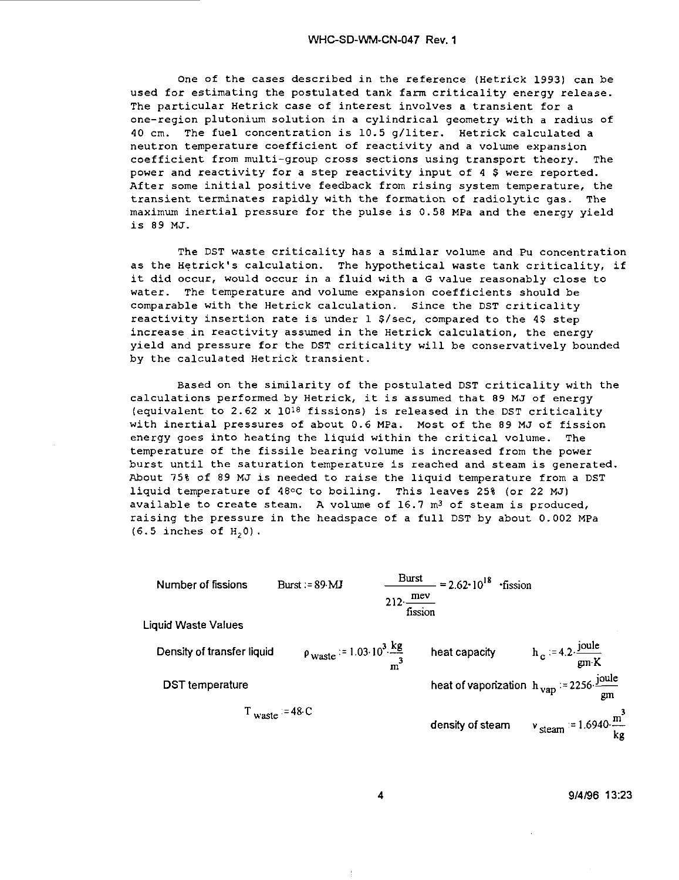One of the cases described in the reference (Hetrick 1993) can be used for estimating the postulated tank farm criticality energy release. The particular Hetrick case of interest involves a transient for a one-region plutonium solution in a cylindrical geometry with a radius of 40 cm. The fuel concentration is 10.5 g/liter. Hetrick calculated a neutron temperature coefficient of reactivity and a volume expansion coefficient from multi-group cross sections using transport theory. The power and reactivity for a step reactivity input of 4 \$ were reported. After some initial positive feedback from rising system temperature, the transient terminates rapidly with the formation of radiolytic gas. The maximum inertial pressure for the pulse is 0.58 MPa and the energy yield is 89 MJ.

The DST waste criticality has a similar volume and Pu concentration as the Hetrick's calculation. The hypothetical waste tank criticality, if it did occur, would occur in a fluid with a G value reasonably close to water. The temperature and volume expansion coefficients should be comparable with the Hetrick calculation. Since the DST criticality reactivity insertion rate is under 1 S/sec, compared to the 4\$ step increase in reactivity assumed in the Hetrick calculation, the energy yield and pressure for the DST criticality will be conservatively bounded by the calculated Hetrick transient.

Based on the similarity of the postulated DST criticality with the calculations performed by Hetrick, it is assumed that 89 MJ of energy (equivalent to 2.62 x 1018 fissions) is released in the DST criticality with inertial pressures of about 0.6 MPa. Most of the 89 MJ of fission energy goes into heating the liquid within the critical volume. The temperature of the fissile bearing volume is increased from the power burst until the saturation temperature is reached and steam is generated. About 75% of 89 MJ is needed to raise the liquid temperature from a DST liquid temperature of 48°C to boiling. This leaves 25% (or 22 MJ) available to create steam. A volume of  $16.7$  m<sup>3</sup> of steam is produced, raising the pressure in the headspace of a full DST by about 0.002 MPa  $(6.5$  inches of  $H<sub>2</sub>0$ ).



9/4/96 13:23

4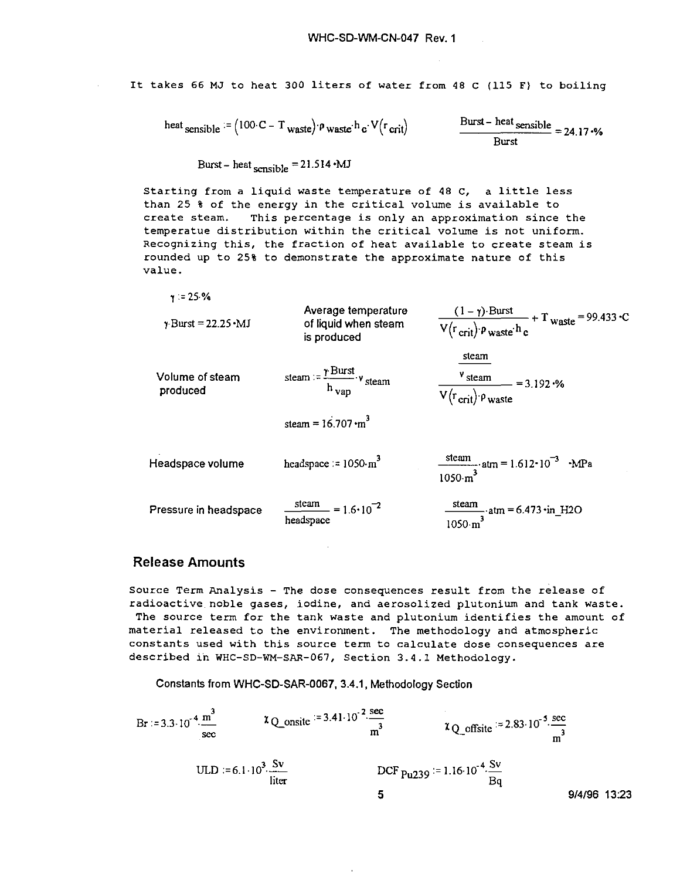It takes 66 MJ to heat 300 liters of water from 48 C (115 F) to boiling

$$
\text{heat}_{\text{sensible}} := (100 \cdot \text{C} - \text{T}_{\text{waste}}) \cdot \text{p}_{\text{waste}} \cdot \text{h}_{\text{c}} \cdot \text{V} (\text{r}_{\text{crit}})
$$

$$
\frac{\text{Burst} - \text{heat} \cdot \text{sensible}}{\text{Burst}} = 24.17 \cdot \%
$$

Burst-heat sensible  $=21.514 \cdot MJ$ 

Starting from a liquid waste temperature of 48 C, a little less than 25 % of the energy in the critical volume is available to create steam. This percentage is only an approximation since the temperatue distribution within the critical volume is not uniform. Recognizing this, the fraction of heat available to create steam is rounded up to 25% to demonstrate the approximate nature of this value.

 $\gamma = 25.%$ 

| $\gamma$ -Burst = 22.25 • MJ | Average temperature<br>of liquid when steam<br>is produced         | $\frac{(1-\gamma) \cdot \text{Burst}}{V(r_{\text{crit}}) \cdot \rho_{\text{waste}} h_c} + T_{\text{waste}} = 99.433 \cdot C$ |
|------------------------------|--------------------------------------------------------------------|------------------------------------------------------------------------------------------------------------------------------|
| Volume of steam<br>produced  | steam := $\frac{\gamma \text{ Burst}}{h_{vap}}$ , v steam          | steam<br>$\frac{v_{\text{steam}}}{V(r_{\text{crit}}) \cdot p_{\text{waste}}}$ = 3.192 ·%                                     |
|                              | steam = $16.707 \cdot m^3$                                         |                                                                                                                              |
| Headspace volume             | headspace $= 1050 \cdot m^3$                                       | $\frac{\text{steam}}{1050 \cdot \text{m}^3}$ atm = 1.612 · 10 <sup>-3</sup> · MPa                                            |
| Pressure in headspace        | $\frac{\text{steam}}{2}$ = 1.6 \cdot 10 <sup>-2</sup><br>headspace | $\frac{\text{steam}}{1050 \text{ m}^3} \cdot \text{atm} = 6.473 \cdot \text{in} \quad \text{H2O}$                            |

### Release Amounts

Source Term Analysis - The dose consequences result from the release of radioactive noble gases, iodine, and aerosolized plutonium and tank waste. The source term for the tank waste and plutonium identifies the amount of material released to the environment. The methodology and atmospheric constants used with this source term to calculate dose consequences are described in WHC-SD-WM-SAR-067, Section 3.4.1 Methodology.

Constants from WHC-SD-SAR-0067, 3.4.1, Methodology Section

Br := 3.3·10<sup>-4</sup> 
$$
\frac{m^3}{\text{sec}}
$$
   
\n $\frac{10 \text{ L}}{\text{sec}}$    
\n $\frac{10 \text{ L}}{\text{sec}}$    
\n $\frac{10 \text{ L}}{\text{sec}}$    
\n $\frac{10 \text{ L}}{\text{sec}}$    
\n $\frac{10 \text{ L}}{\text{sec}}$    
\n $\frac{10 \text{ L}}{\text{sec}}$    
\n $\frac{10 \text{ L}}{\text{sec}}$    
\n $\frac{10 \text{ L}}{\text{sec}}$    
\n $\frac{10 \text{ L}}{\text{sec}}$    
\n $\frac{10 \text{ L}}{\text{sec}}$    
\n $\frac{10 \text{ L}}{\text{sec}}$    
\n $\frac{10 \text{ L}}{\text{sec}}$    
\n $\frac{10 \text{ L}}{\text{sec}}$    
\n $\frac{10 \text{ L}}{\text{sec}}$    
\n $\frac{10 \text{ L}}{\text{sec}}$    
\n $\frac{10 \text{ L}}{\text{sec}}$    
\n $\frac{10 \text{ L}}{\text{sec}}$    
\n $\frac{10 \text{ L}}{\text{sec}}$    
\n $\frac{10 \text{ L}}{\text{sec}}$    
\n $\frac{10 \text{ L}}{\text{sec}}$    
\n $\frac{10 \text{ L}}{\text{sec}}$    
\n $\frac{10 \text{ L}}{\text{sec}}$    
\n $\frac{10 \text{ L}}{\text{sec}}$    
\n $\frac{10 \text{ L}}{\text{sec}}$    
\n $\frac{10 \text{ L}}{\text{sec}}$    
\n $\frac{10 \text{ L}}{\text{sec}}$    
\n $\frac{10 \text{ L}}{\text{sec}}$    
\n $\frac{10 \text{ L}}{\text{sec}}$    
\n $\frac{10 \text{ L}}{\text{sec}}$    
\n $\frac{10 \text{ L}}{\text{sec}}$    
\n $\frac{10 \text{ L}}{\text{sec}}$    
\n $\frac{10 \text{ L}}{\text{sec$ 

i,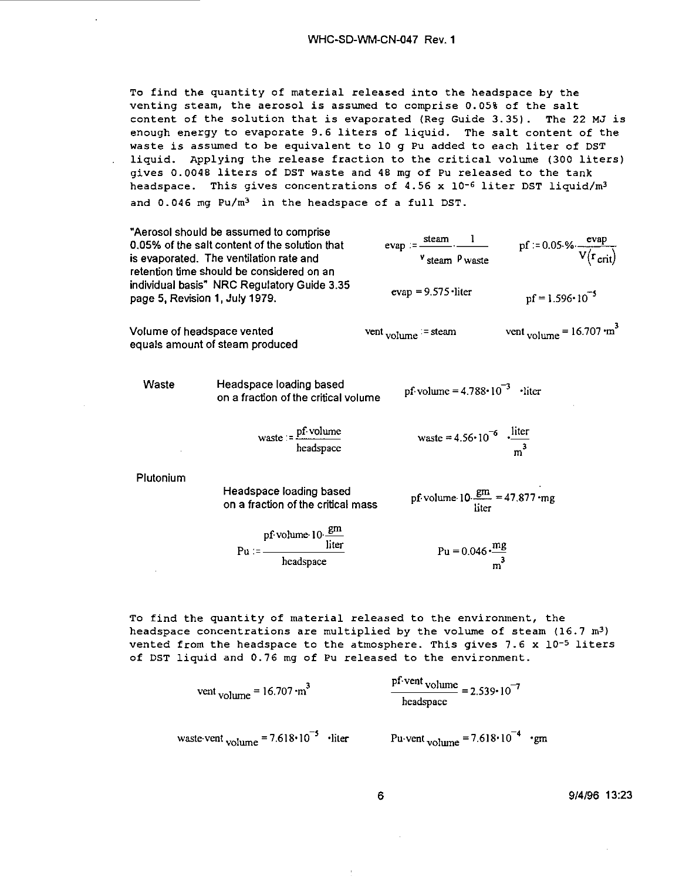To find the quantity of material released into the headspace by the venting steam, the aerosol is assumed to comprise 0.05% of the salt content of the solution that is evaporated (Reg Guide 3.35). The 22 MJ is enough energy to evaporate 9.6 liters of liquid. The salt content of the waste is assumed to be equivalent to 10 g Pu added to each liter of DST liquid. Applying the release fraction to the critical volume (300 liters) gives 0.0048 liters of DST waste and 48 mg of Pu released to the tank headspace. This gives concentrations of 4.56 x 10-6 liter DST liquid/m<sup>3</sup> and  $0.046$  mg  $Pu/m<sup>3</sup>$  in the headspace of a full DST.

|                                | "Aerosol should be assumed to comprise<br>0.05% of the salt content of the solution that<br>is evaporated. The ventilation rate and<br>retention time should be considered on an | $evap := \frac{steam}{1}$ .<br>$v$ steam $\rho$ waste                  | pf := 0.05 % $\frac{evap}{V(r_{crit})}$          |
|--------------------------------|----------------------------------------------------------------------------------------------------------------------------------------------------------------------------------|------------------------------------------------------------------------|--------------------------------------------------|
| page 5, Revision 1, July 1979. | individual basis" NRC Regulatory Guide 3.35                                                                                                                                      | $evap = 9.575$ liter                                                   | $pf = 1.596 \cdot 10^{-5}$                       |
| Volume of headspace vented     | equals amount of steam produced                                                                                                                                                  | $vent$ volume $=$ steam                                                | vent $_{volume}$ = 16.707 $\cdot$ m <sup>3</sup> |
| Waste                          | Headspace loading based<br>on a fraction of the critical volume                                                                                                                  | pf volume = $4.788 \cdot 10^{-3}$ · liter                              |                                                  |
|                                | $\text{waste} = \frac{\text{pf} \cdot \text{volume}}{\text{headspace}}$                                                                                                          | waste = 4.56 $\cdot$ 10 <sup>-6</sup> $\cdot \frac{\text{liter}}{m^3}$ |                                                  |
| Plutonium                      | Headspace loading based<br>on a fraction of the critical mass                                                                                                                    | pf volume $10 \frac{\text{gm}}{\text{liter}} = 47.877 \cdot \text{mg}$ |                                                  |
|                                | $Pu := \frac{pf \cdot volume \cdot 10 \cdot \frac{gm}{liter}}{head space}$                                                                                                       | $Pu = 0.046 \cdot \frac{mg}{m^3}$                                      |                                                  |

To find the quantity of material released to the environment, the headspace concentrations are multiplied by the volume of steam  $(16.7 \text{ m}^3)$ vented from the headspace to the atmosphere. This gives  $7.6 \times 10^{-5}$  liters of DST liquid and 0.76 mg of Pu released to the environment.

 $\overline{a}$ 

vent volume = 
$$
16.707 \cdot m^3
$$
  

$$
\frac{p1 \cdot vent \text{ volume}}{\text{headspace}} = 2.539 \cdot 10^{-7}
$$

waste-vent <sub>volume</sub> = 7.618 $\cdot$ 10<sup>-5</sup> ·liter Pu-vent <sub>volume</sub> = 7.618 $\cdot$ 10<sup>-4</sup> ·gm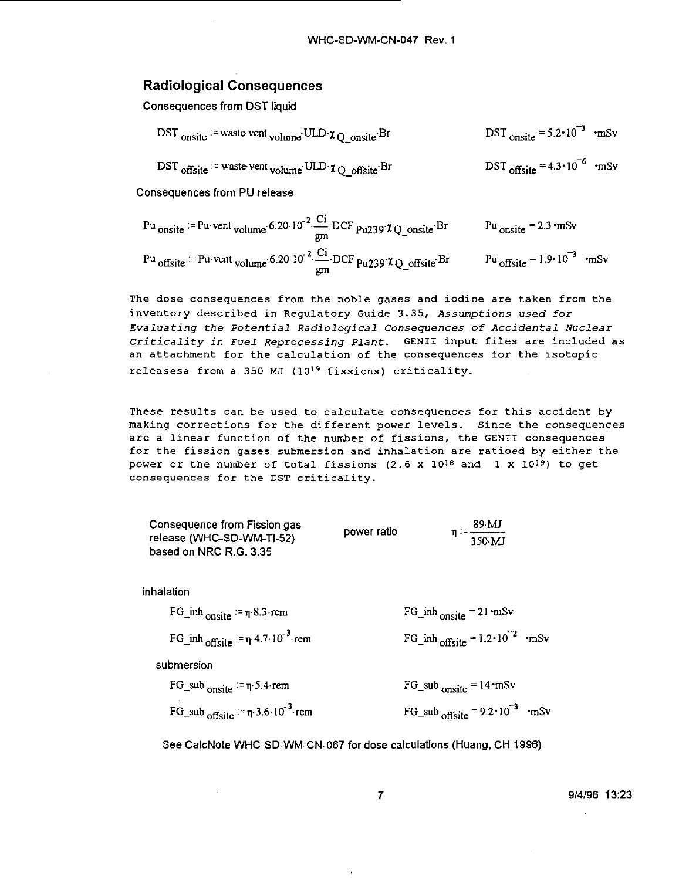#### Radiological Consequences

Consequences from DST liquid

| DST <sub>onsite</sub> = waste vent <sub>volume</sub> ULD $\chi$ <sub>O</sub> onsite Br | DST <sub>onsite</sub> = $5.2 \cdot 10^{-3}$ ·mSv |  |
|----------------------------------------------------------------------------------------|--------------------------------------------------|--|
| DST offsite $\cdot$ = waste vent volume ULD $\chi_{\text{Q}}$ offsite Br               | $DST_{\text{offset}} = 4.3 \cdot 10^{-6}$ •mSv   |  |

**Consequences from PU release**

| Pu onsite $=$ Pu vent volume 6.20 $10^{-2}$ Ci DCF pu239 $\chi$ Q_onsite Br                       | Pu onsite $= 2.3 \text{ mSv}$         |
|---------------------------------------------------------------------------------------------------|---------------------------------------|
| Pu offsite $=$ Pu vent volume 6.20 10 <sup>-2</sup> $\frac{Ci}{gm}$ DCF Pu239 $\chi$ Q_offsite Br | Pu offsite = $1.9 \cdot 10^{-3}$ ·mSv |

The dose consequences from the noble gases and iodine are taken from the inventory described in Regulatory Guide 3.35, Assumptions used for Evaluating the Potential Radiological Consequences of Accidental Nuclear Criticality in Fuel Reprocessing Plant. GENII input files are included as an attachment for the calculation of the consequences for the isotopic releasesa from a 350 MJ (10<sup>19</sup> fissions) criticality.

These results can be used to calculate consequences for this accident by making corrections for the different power levels. Since the consequences are a linear function of the number of fissions, the GENII consequences for the fission gases submersion and inhalation are ratioed by either the power or the number of total fissions  $(2.6 \times 10^{18} \text{ and } 1 \times 10^{19})$  to get consequences for the DST criticality.

| Consequence from Fission gas |             | 89 MJ                              |
|------------------------------|-------------|------------------------------------|
| release (WHC-SD-WM-TI-52)    | power ratio | $\eta$ : = -------------<br>350 MJ |
| based on NRC R.G. 3.35       |             |                                    |

inhalation

| FG_inh $_{onsite}$ = $\eta$ 8.3 rem               | $FG_{\text{in}}$ inh <sub>onsite</sub> = 21 mSv      |
|---------------------------------------------------|------------------------------------------------------|
| FG_inh offsite $:= \eta$ 4.7.10 <sup>-3</sup> rem | FG_inh <sub>offsite</sub> = $1.2 \cdot 10^{-2}$ ·mSv |

submersion

| $FG\_sub$ onsite $=\eta.5.4$ rem                | $FG\_sub$ <sub>onsite</sub> = 14 mSv                 |  |
|-------------------------------------------------|------------------------------------------------------|--|
| FG_sub offsite $= \pi$ 3.6.10 <sup>-3</sup> rem | FG_sub <sub>offsite</sub> = $9.2 \cdot 10^{-3}$ ·mSv |  |

See CalcNote WHC-SD-WM-CN-067 for dose calculations (Huang, CH 1996)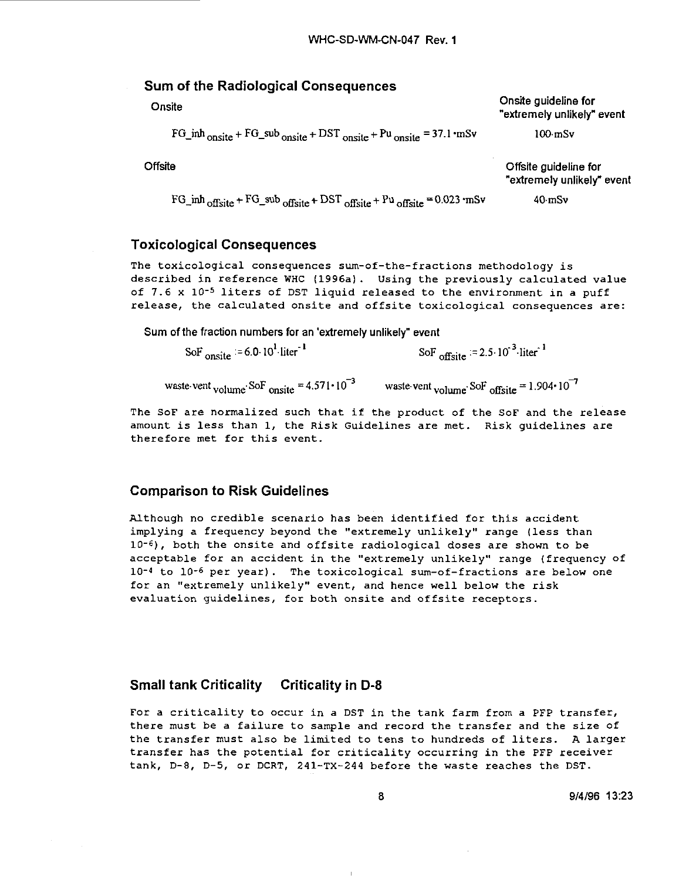| Sum of the Radiological Consequences                                                |                                                     |  |  |
|-------------------------------------------------------------------------------------|-----------------------------------------------------|--|--|
| Onsite                                                                              | Onsite guideline for<br>"extremely unlikely" event  |  |  |
| $FG\_inh_{onsite} + FG\_sub_{onsite} + DST_{onsite} + Pu_{onsite} = 37.1 \cdot mSv$ | $100 \text{ mSv}$                                   |  |  |
| Offsite                                                                             | Offsite guideline for<br>"extremely unlikely" event |  |  |
| $FG\_inh_{offset} + FG\_sub_{offset} + DST_{offset} + Pu_{offset} = 0.023$ mSv      | $40 \text{ mSv}$                                    |  |  |

#### Toxicological Consequences

The toxicological consequences sum-of-the-fractions methodology is described in reference WHC (1996a). Using the previously calculated value of 7.6 x 10<sup>-5</sup> liters of DST liquid released to the environment in a puff release, the calculated onsite and offsite toxicological consequences are:

Sum of the fraction numbers for an 'extremely unlikely" event

SoF<sub>onsite</sub>  $= 6.0 \cdot 10^{1}$  liter<sup>-1</sup> SoF<sub>offsite</sub>  $= 2.5 \cdot 10^{-3}$ -liter<sup>-1</sup>

waste-vent <sub>volume</sub> SoF <sub>onsite</sub> = 4.571  $\cdot$  10<sup>-3</sup> waste-vent <sub>volume</sub> SoF <sub>offsite</sub> = 1.904  $\cdot$  10<sup>-7</sup>

The SoF are normalized such that if the product of the SoF and the release amount is less than 1, the Risk Guidelines are met. Risk guidelines are therefore met for this event.

#### Comparison to Risk Guidelines

Although no credible scenario has been identified for this accident implying a frequency beyond the "extremely unlikely" range (less than 10"<sup>6</sup>) , both the onsite and offsite radiological doses are shown to be acceptable for an accident in the "extremely unlikely" range (frequency of 10"<sup>4</sup> to 10"<sup>6</sup> per year). The toxicological sum-of-fractions are below one for an "extremely unlikely" event, and hence well below the risk evaluation guidelines, for both onsite and offsite receptors.

#### Small tank Criticality Criticality in D-8

For a criticality to occur in a DST in the tank farm from a PFP transfer, there must be a failure to sample and record the transfer and the size of the transfer must also be limited to tens to hundreds of liters. A larger transfer has the potential for criticality occurring in the PFP receiver tank, D-8, D-5, or DCRT, 241-TX-244 before the waste reaches the DST.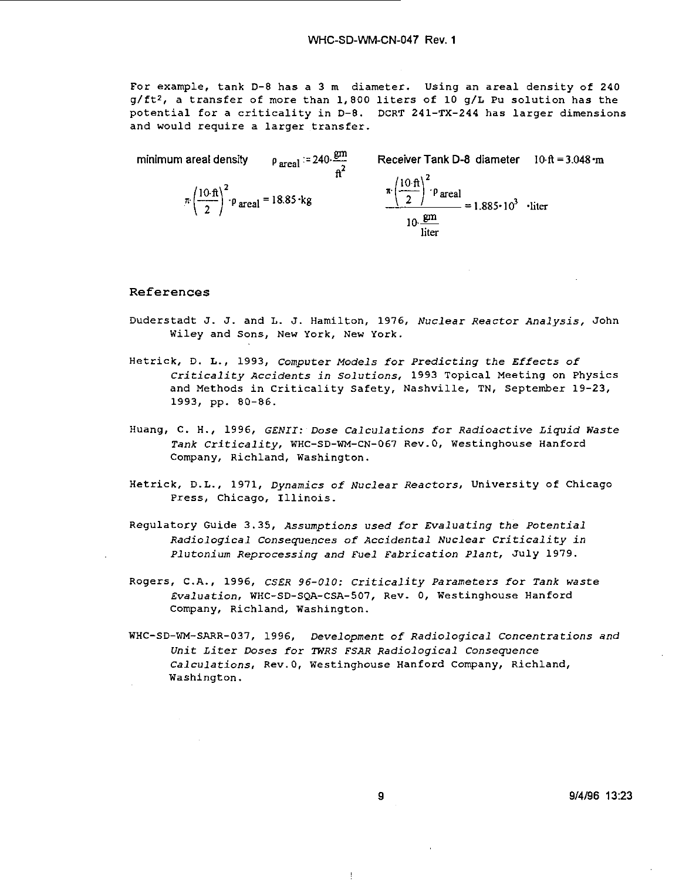For example, tank D-8 has a 3 m diameter. Using an areal density of 240 g/ft<sup>2</sup> , a transfer of more than 1,800 liters of 10 g/L Pu solution has the potential for a criticality in D-8. DCRT 241-TX-244 has larger dimensions and would require a larger transfer.

minimum areal density  $p_{\text{area}} = 240 \frac{\text{gm}}{\text{h}^2}$  Receiver Tank D-8 diameter  $10 \text{ ft} = 3.048 \text{ m}$  $\pi \left(\frac{10 \text{ ft}}{2}\right)^2$   $\rho_{\text{ are al}} = 18.85 \text{ kg}$  $\pi \left(\frac{10 \cdot \text{ft}}{2}\right)^2$   $\rho$  areal.  $=1.885 \cdot 10^3$  · liter 10 gm liter

#### References

- Duderstadt J. J. and L. J. Hamilton, 1976, Nuclear Reactor Analysis, John Wiley and Sons, New York, New York.
- Hetrick, D. L., 1993, computer Models for Predicting the Effects of Criticality Accidents in Solutions, 1993 Topical Meeting on Physics and Methods in Criticality Safety, Nashville, TN, September 19-23, 1993, pp. 80-86.
- Huang, C. H., 1996, GENII: Dose Calculations for Radioactive Liquid Waste Tank Criticality, WHC-SD-WM-CN-067 Rev.0, Westinghouse Hanford Company, Richland, Washington.
- Hetrick, D.L., 1971, Dynamics of Nuclear Reactors, University of Chicago Press, Chicago, Illinois.
- Regulatory Guide 3.35, Assumptions used for Evaluating the Potential Radiological Consequences of Accidental Nuclear Criticality in Plutonium Reprocessing and Fuel Fabrication Plant, July 1979.
- Rogers, CA., 1996, CSER 96-010: Criticality Parameters for Tank waste Evaluation, WHC-SD-SQA-CSA-507, Rev. 0, Westinghouse Hanford Company, Richland, Washington.
- WHC-SD-WM-SARR-037, 1996, Development of Radiological Concentrations and Unit Liter Doses for TWRS FSAR Radiological Consequence Calculations, Rev.0, Westinghouse Hanford Company, Richland, Washington.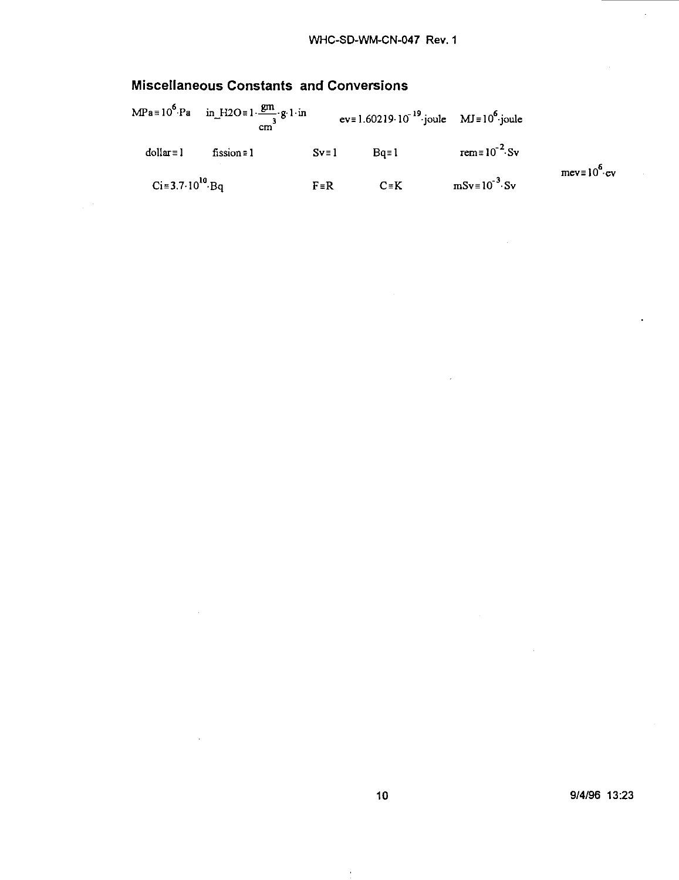# Miscellaneous Constants and Conversions

|                 |                   | $ev = 1.60219 \cdot 10^{-19}$ joule MJ = $10^6$ joule |          | $MPa = 10^{6} Pa$ in $H2O = 1 \frac{gm}{a} g 1 in$<br>cm |                             |
|-----------------|-------------------|-------------------------------------------------------|----------|----------------------------------------------------------|-----------------------------|
|                 | rem= $10^{-2}$ Sv | $Bo = 1$                                              | $Sv = 1$ | fission $\equiv$ 1                                       | $dollar = 1$                |
| $mev = 10^6$ ev | $mSv=10^{-3}$ Sv  | $C \equiv K$                                          | $F = R$  |                                                          | $Ci = 3.7 \cdot 10^{10}$ Bq |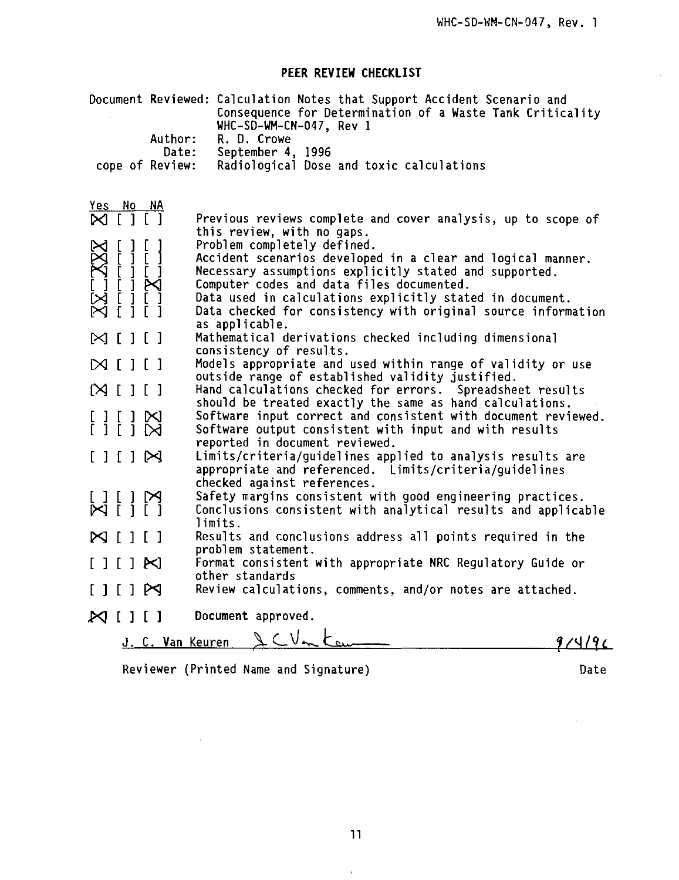# **PEER REVIEW CHECKLIST**

|                                                                                                                                                                                                                                                                                                                                                                        | Document Reviewed: Calculation Notes that Support Accident Scenario and<br>Consequence for Determination of a Waste Tank Criticality |
|------------------------------------------------------------------------------------------------------------------------------------------------------------------------------------------------------------------------------------------------------------------------------------------------------------------------------------------------------------------------|--------------------------------------------------------------------------------------------------------------------------------------|
|                                                                                                                                                                                                                                                                                                                                                                        | WHC-SD-WM-CN-047, Rev 1                                                                                                              |
| Author:                                                                                                                                                                                                                                                                                                                                                                | R. D. Crowe                                                                                                                          |
| Date:                                                                                                                                                                                                                                                                                                                                                                  | September 4, 1996                                                                                                                    |
| cope of Review:                                                                                                                                                                                                                                                                                                                                                        | Radiological Dose and toxic calculations                                                                                             |
|                                                                                                                                                                                                                                                                                                                                                                        |                                                                                                                                      |
| Yes No NA                                                                                                                                                                                                                                                                                                                                                              |                                                                                                                                      |
| $N$ $[$ $]$ $[$ $]$                                                                                                                                                                                                                                                                                                                                                    | Previous reviews complete and cover analysis, up to scope of<br>this review, with no gaps.                                           |
|                                                                                                                                                                                                                                                                                                                                                                        | Problem completely defined.                                                                                                          |
|                                                                                                                                                                                                                                                                                                                                                                        | Accident scenarios developed in a clear and logical manner.                                                                          |
|                                                                                                                                                                                                                                                                                                                                                                        | Necessary assumptions explicitly stated and supported.                                                                               |
|                                                                                                                                                                                                                                                                                                                                                                        | Computer codes and data files documented.                                                                                            |
| $\begin{array}{c} {\mathbb{X}} {\mathbb{C}} {\mathbb{X}} {\mathbb{C}} {\mathbb{H}} \cr {\mathbb{H}} {\mathbb{H}} {\mathbb{H}} {\mathbb{H}} {\mathbb{H}} \cr {\mathbb{H}} {\mathbb{H}} {\mathbb{H}} {\mathbb{H}} {\mathbb{H}} {\mathbb{H}} \cr {\mathbb{H}} {\mathbb{H}} {\mathbb{H}} {\mathbb{H}} {\mathbb{H}} {\mathbb{H}} {\mathbb{H}} {\mathbb{H}} \cr \end{array}$ | Data used in calculations explicitly stated in document.<br>Data checked for consistency with original source information            |
|                                                                                                                                                                                                                                                                                                                                                                        | as applicable.                                                                                                                       |
| $\boxtimes$ i i i                                                                                                                                                                                                                                                                                                                                                      | Mathematical derivations checked including dimensional                                                                               |
|                                                                                                                                                                                                                                                                                                                                                                        | consistency of results.                                                                                                              |
| $\boxtimes$ $\Box$ $\Box$                                                                                                                                                                                                                                                                                                                                              | Models appropriate and used within range of validity or use                                                                          |
| [2] [1]                                                                                                                                                                                                                                                                                                                                                                | outside range of established validity justified.<br>Hand calculations checked for errors. Spreadsheet results                        |
|                                                                                                                                                                                                                                                                                                                                                                        | should be treated exactly the same as hand calculations.                                                                             |
|                                                                                                                                                                                                                                                                                                                                                                        | Software input correct and consistent with document reviewed.                                                                        |
|                                                                                                                                                                                                                                                                                                                                                                        | Software output consistent with input and with results                                                                               |
|                                                                                                                                                                                                                                                                                                                                                                        | reported in document reviewed.                                                                                                       |
|                                                                                                                                                                                                                                                                                                                                                                        | Limits/criteria/guidelines applied to analysis results are                                                                           |
|                                                                                                                                                                                                                                                                                                                                                                        | appropriate and referenced. Limits/criteria/quidelines<br>checked against references.                                                |
|                                                                                                                                                                                                                                                                                                                                                                        | Safety margins consistent with good engineering practices.                                                                           |
|                                                                                                                                                                                                                                                                                                                                                                        | Conclusions consistent with analytical results and applicable                                                                        |
|                                                                                                                                                                                                                                                                                                                                                                        | limits.                                                                                                                              |
| $\bowtie$ [<br>1 [ ]                                                                                                                                                                                                                                                                                                                                                   | Results and conclusions address all points required in the                                                                           |
|                                                                                                                                                                                                                                                                                                                                                                        | problem statement.                                                                                                                   |
| $M$ $[11]$                                                                                                                                                                                                                                                                                                                                                             | Format consistent with appropriate NRC Regulatory Guide or<br>other standards                                                        |
| $[111]$ $\bowtie$                                                                                                                                                                                                                                                                                                                                                      | Review calculations, comments, and/or notes are attached.                                                                            |
| $\bowtie$ [ ] [ ]                                                                                                                                                                                                                                                                                                                                                      | Document approved.                                                                                                                   |
|                                                                                                                                                                                                                                                                                                                                                                        | CVn tem                                                                                                                              |
| J. C. Van Keuren                                                                                                                                                                                                                                                                                                                                                       |                                                                                                                                      |

Reviewer (Printed Name and Signature) and Date

 $\sim$   $\alpha$ 

 $\bar{1}$